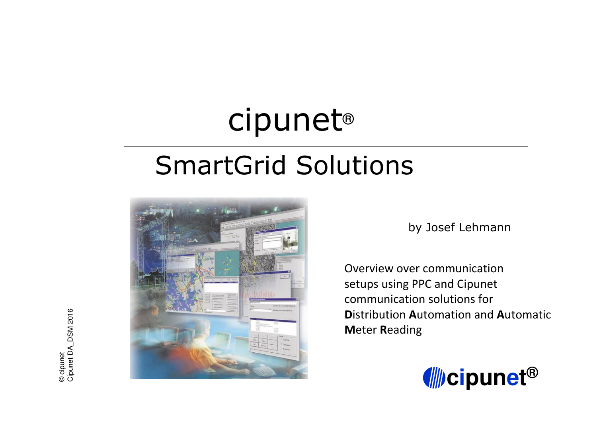# cipunet®

# SmartGrid Solutions



by Josef Lehmann

Overview over communication setups using PPC and Cipunet communication solutions for **D**istribution **A**utomation and **A**utomatic **M**eter **R**eading



© cipunet Cipunet D A\_ DSM2016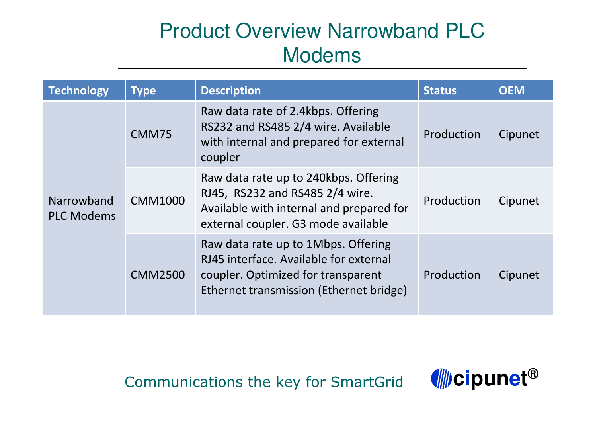# Product Overview Narrowband PLC Modems

| <b>Technology</b>               | <b>Type</b>    | <b>Description</b>                                                                                                                                             | <b>Status</b> | <b>OEM</b> |
|---------------------------------|----------------|----------------------------------------------------------------------------------------------------------------------------------------------------------------|---------------|------------|
| Narrowband<br><b>PLC Modems</b> | CMM75          | Raw data rate of 2.4kbps. Offering<br>RS232 and RS485 2/4 wire. Available<br>with internal and prepared for external<br>coupler                                | Production    | Cipunet    |
|                                 | <b>CMM1000</b> | Raw data rate up to 240kbps. Offering<br>RJ45, RS232 and RS485 2/4 wire.<br>Available with internal and prepared for<br>external coupler. G3 mode available    | Production    | Cipunet    |
|                                 | <b>CMM2500</b> | Raw data rate up to 1Mbps. Offering<br>RJ45 interface. Available for external<br>coupler. Optimized for transparent<br>Ethernet transmission (Ethernet bridge) | Production    | Cipunet    |

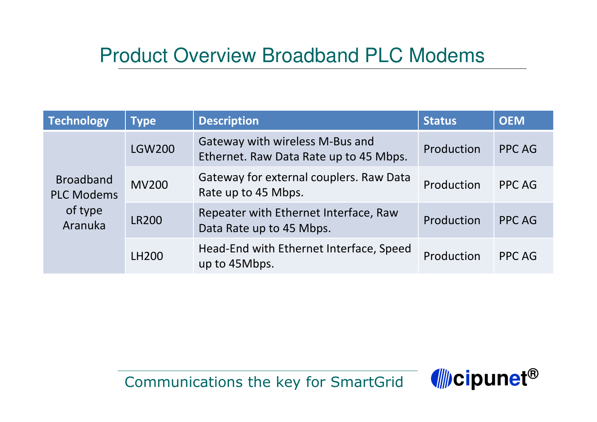### Product Overview Broadband PLC Modems

| <b>Technology</b>                                           | <b>Type</b>   | <b>Description</b>                                                        | <b>Status</b> | <b>OEM</b>    |
|-------------------------------------------------------------|---------------|---------------------------------------------------------------------------|---------------|---------------|
| <b>Broadband</b><br><b>PLC Modems</b><br>of type<br>Aranuka | <b>LGW200</b> | Gateway with wireless M-Bus and<br>Ethernet. Raw Data Rate up to 45 Mbps. | Production    | <b>PPC AG</b> |
|                                                             | <b>MV200</b>  | Gateway for external couplers. Raw Data<br>Rate up to 45 Mbps.            | Production    | <b>PPC AG</b> |
|                                                             | <b>LR200</b>  | Repeater with Ethernet Interface, Raw<br>Data Rate up to 45 Mbps.         | Production    | PPC AG        |
|                                                             | LH200         | Head-End with Ethernet Interface, Speed<br>up to 45Mbps.                  | Production    | PPC AG        |

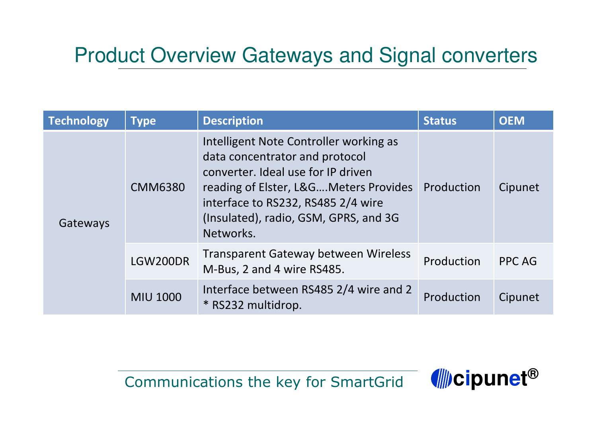## Product Overview Gateways and Signal converters

| <b>Technology</b> | <b>Type</b>     | <b>Description</b>                                                                                                                                                                                                                                  | <b>Status</b> | <b>OEM</b> |
|-------------------|-----------------|-----------------------------------------------------------------------------------------------------------------------------------------------------------------------------------------------------------------------------------------------------|---------------|------------|
| Gateways          | <b>CMM6380</b>  | Intelligent Note Controller working as<br>data concentrator and protocol<br>converter. Ideal use for IP driven<br>reading of Elster, L&GMeters Provides<br>interface to RS232, RS485 2/4 wire<br>(Insulated), radio, GSM, GPRS, and 3G<br>Networks. | Production    | Cipunet    |
|                   | LGW200DR        | <b>Transparent Gateway between Wireless</b><br>M-Bus, 2 and 4 wire RS485.                                                                                                                                                                           | Production    | PPC AG     |
|                   | <b>MIU 1000</b> | Interface between RS485 2/4 wire and 2<br>* RS232 multidrop.                                                                                                                                                                                        | Production    | Cipunet    |

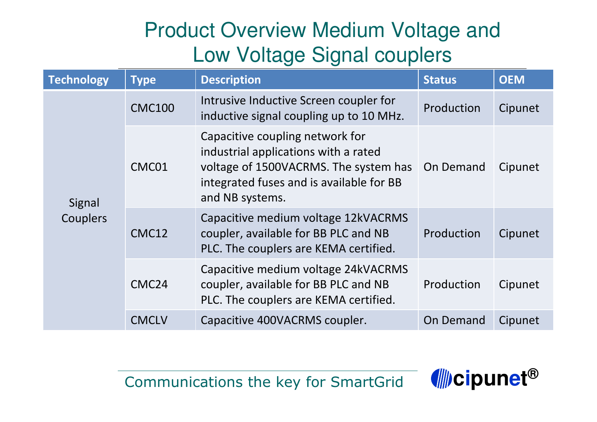# Product Overview Medium Voltage and Low Voltage Signal couplers

| <b>Technology</b>  | <b>Type</b>       | <b>Description</b>                                                                                                                                                              | <b>Status</b> | <b>OEM</b> |
|--------------------|-------------------|---------------------------------------------------------------------------------------------------------------------------------------------------------------------------------|---------------|------------|
| Signal<br>Couplers | <b>CMC100</b>     | Intrusive Inductive Screen coupler for<br>inductive signal coupling up to 10 MHz.                                                                                               | Production    | Cipunet    |
|                    | CMC01             | Capacitive coupling network for<br>industrial applications with a rated<br>voltage of 1500VACRMS. The system has<br>integrated fuses and is available for BB<br>and NB systems. | On Demand     | Cipunet    |
|                    | CMC12             | Capacitive medium voltage 12kVACRMS<br>coupler, available for BB PLC and NB<br>PLC. The couplers are KEMA certified.                                                            | Production    | Cipunet    |
|                    | CMC <sub>24</sub> | Capacitive medium voltage 24kVACRMS<br>coupler, available for BB PLC and NB<br>PLC. The couplers are KEMA certified.                                                            | Production    | Cipunet    |
|                    | <b>CMCLV</b>      | Capacitive 400VACRMS coupler.                                                                                                                                                   | On Demand     | Cipunet    |

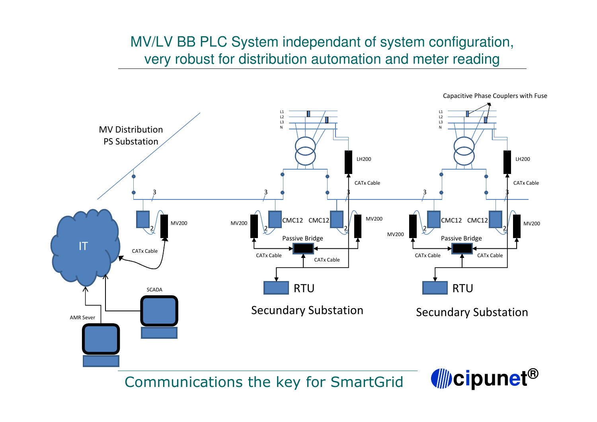#### MV/LV BB PLC System independant of system configuration, very robust for distribution automation and meter reading



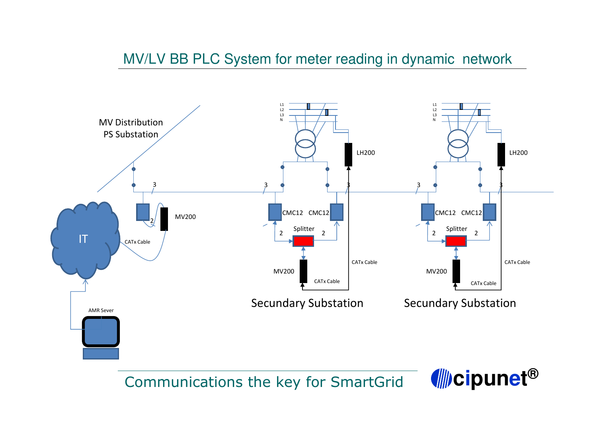#### MV/LV BB PLC System for meter reading in dynamic network



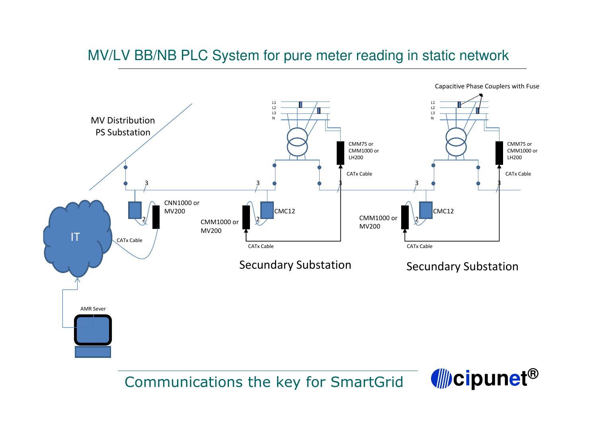#### MV/LV BB/NB PLC System for pure meter reading in static network



Capacitive Phase Couplers with Fuse

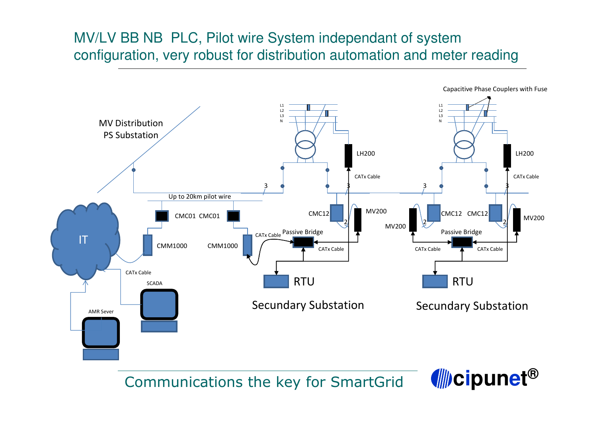#### MV/LV BB NB PLC, Pilot wire System independant of system configuration, very robust for distribution automation and meter reading



Capacitive Phase Couplers with Fuse

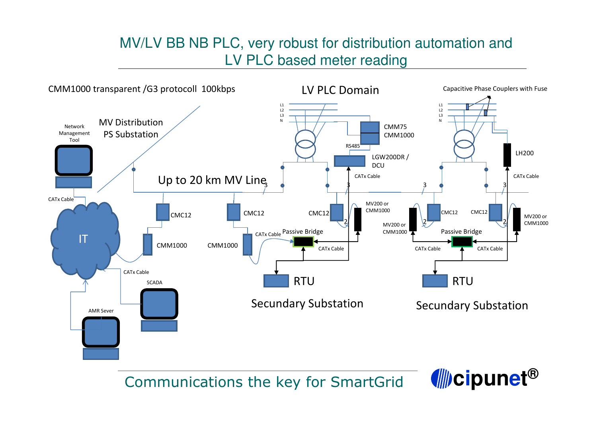#### MV/LV BB NB PLC, very robust for distribution automation and LV PLC based meter reading



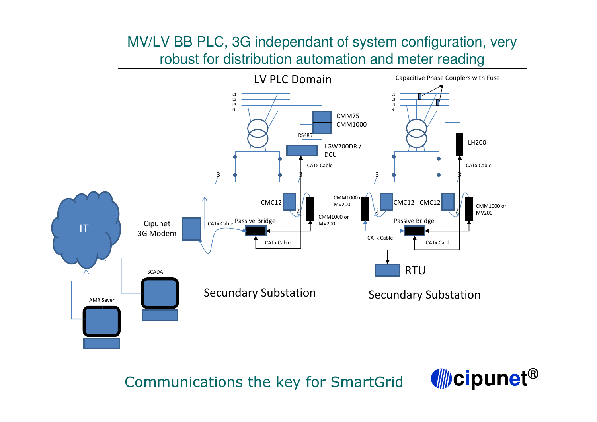#### MV/LV BB PLC, 3G independant of system configuration, very robust for distribution automation and meter reading



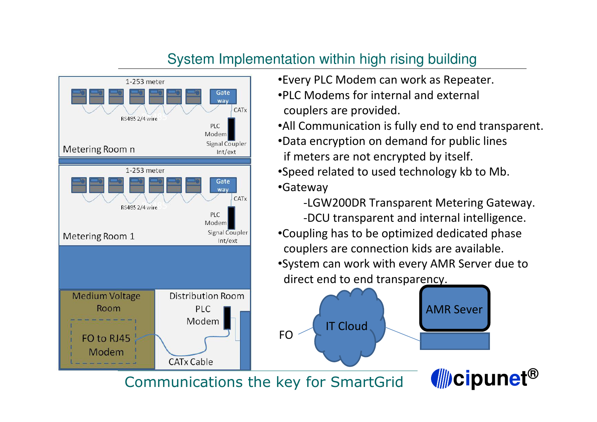#### System Implementation within high rising building



- •Every PLC Modem can work as Repeater.
- •PLC Modems for internal and external couplers are provided.
- •All Communication is fully end to end transparent.
- •Data encryption on demand for public lines if meters are not encrypted by itself.
- •Speed related to used technology kb to Mb. •Gateway
- -LGW200DR Transparent Metering Gateway. -DCU transparent and internal intelligence. •Coupling has to be optimized dedicated phase couplers are connection kids are available. •System can work with every AMR Server due to direct end to end transparency.